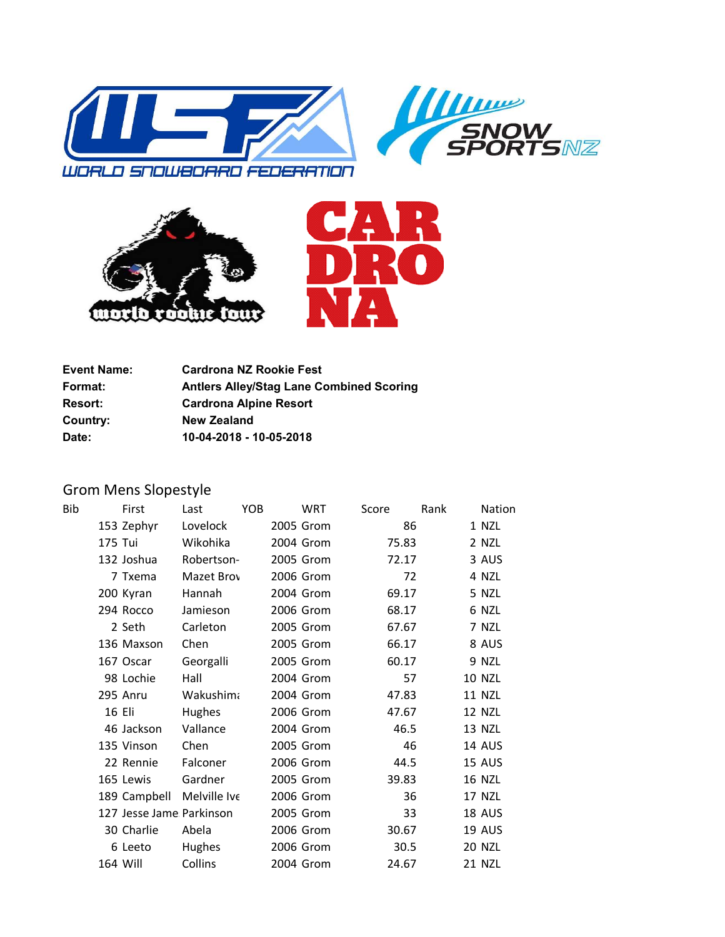





| <b>Event Name:</b> | <b>Cardrona NZ Rookie Fest</b>                  |
|--------------------|-------------------------------------------------|
| <b>Format:</b>     | <b>Antlers Alley/Stag Lane Combined Scoring</b> |
| <b>Resort:</b>     | <b>Cardrona Alpine Resort</b>                   |
| Country:           | <b>New Zealand</b>                              |
| Date:              | 10-04-2018 - 10-05-2018                         |

## Grom Mens Slopestyle

| Bib |         | First                    | Last             | YOB | WRT       | Score |       | Rank | <b>Nation</b> |
|-----|---------|--------------------------|------------------|-----|-----------|-------|-------|------|---------------|
|     |         | 153 Zephyr               | Lovelock         |     | 2005 Grom |       | 86    |      | 1 NZL         |
|     | 175 Tui |                          | Wikohika         |     | 2004 Grom |       | 75.83 |      | 2 NZL         |
|     |         | 132 Joshua               | Robertson-       |     | 2005 Grom |       | 72.17 |      | 3 AUS         |
|     |         | 7 Txema                  | Mazet Brov       |     | 2006 Grom |       | 72    |      | 4 NZL         |
|     |         | 200 Kyran                | Hannah           |     | 2004 Grom |       | 69.17 |      | 5 NZL         |
|     |         | 294 Rocco                | Jamieson         |     | 2006 Grom |       | 68.17 |      | 6 NZL         |
|     |         | 2 Seth                   | Carleton         |     | 2005 Grom |       | 67.67 |      | 7 NZL         |
|     |         | 136 Maxson               | Chen             |     | 2005 Grom |       | 66.17 |      | 8 AUS         |
|     |         | 167 Oscar                | Georgalli        |     | 2005 Grom |       | 60.17 |      | 9 NZL         |
|     |         | 98 Lochie                | Hall             |     | 2004 Grom |       | 57    |      | <b>10 NZL</b> |
|     |         | 295 Anru                 | <b>Wakushima</b> |     | 2004 Grom |       | 47.83 |      | <b>11 NZL</b> |
|     |         | 16 Eli                   | Hughes           |     | 2006 Grom |       | 47.67 |      | <b>12 NZL</b> |
|     |         | 46 Jackson               | Vallance         |     | 2004 Grom |       | 46.5  |      | <b>13 NZL</b> |
|     |         | 135 Vinson               | Chen             |     | 2005 Grom |       | 46    |      | 14 AUS        |
|     |         | 22 Rennie                | Falconer         |     | 2006 Grom |       | 44.5  |      | <b>15 AUS</b> |
|     |         | 165 Lewis                | Gardner          |     | 2005 Grom |       | 39.83 |      | <b>16 NZL</b> |
|     |         | 189 Campbell             | Melville Ive     |     | 2006 Grom |       | 36    |      | 17 NZL        |
|     |         | 127 Jesse Jame Parkinson |                  |     | 2005 Grom |       | 33    |      | 18 AUS        |
|     |         | 30 Charlie               | Abela            |     | 2006 Grom |       | 30.67 |      | 19 AUS        |
|     |         | 6 Leeto                  | Hughes           |     | 2006 Grom |       | 30.5  |      | <b>20 NZL</b> |
|     |         | 164 Will                 | Collins          |     | 2004 Grom |       | 24.67 |      | 21 NZL        |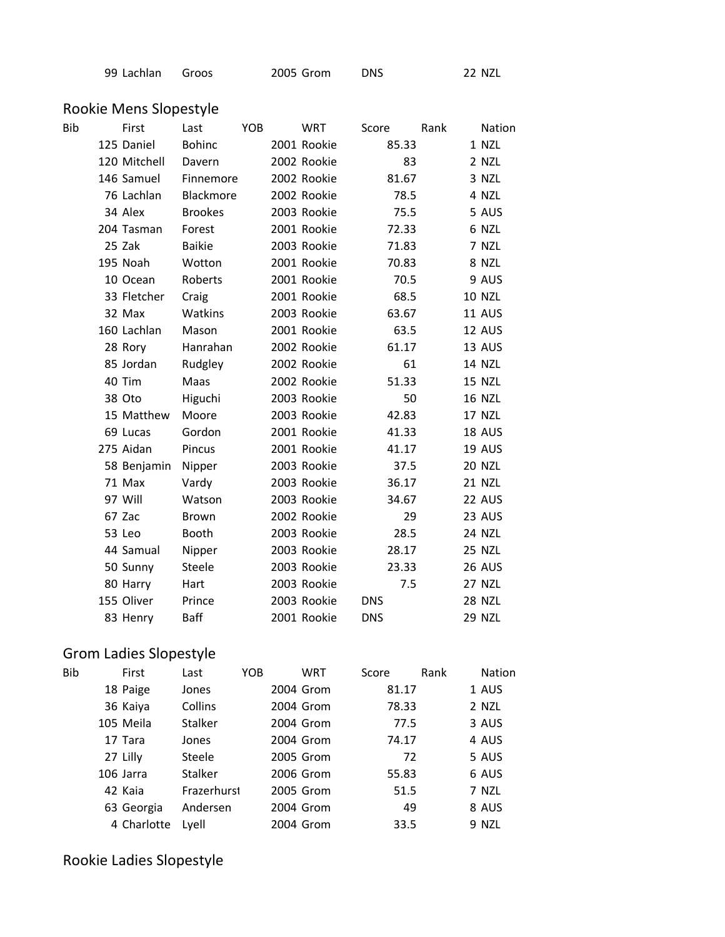| 99 Lachlan Groos | 2005 Grom | <b>DNS</b> | 22 NZL |
|------------------|-----------|------------|--------|
|                  |           |            |        |

## Rookie Mens Slopestyle

| First        | Last           | <b>YOB</b> | <b>WRT</b> | Score                                                                                                                                                                                                                                                                                                                                                                                                                                           | Rank |                                                                                                                                                                                                                            | Nation        |
|--------------|----------------|------------|------------|-------------------------------------------------------------------------------------------------------------------------------------------------------------------------------------------------------------------------------------------------------------------------------------------------------------------------------------------------------------------------------------------------------------------------------------------------|------|----------------------------------------------------------------------------------------------------------------------------------------------------------------------------------------------------------------------------|---------------|
| 125 Daniel   | <b>Bohinc</b>  |            |            |                                                                                                                                                                                                                                                                                                                                                                                                                                                 |      |                                                                                                                                                                                                                            | 1 NZL         |
| 120 Mitchell | Davern         |            |            |                                                                                                                                                                                                                                                                                                                                                                                                                                                 |      |                                                                                                                                                                                                                            | 2 NZL         |
| 146 Samuel   | Finnemore      |            |            |                                                                                                                                                                                                                                                                                                                                                                                                                                                 |      |                                                                                                                                                                                                                            | 3 NZL         |
| 76 Lachlan   | Blackmore      |            |            |                                                                                                                                                                                                                                                                                                                                                                                                                                                 |      |                                                                                                                                                                                                                            | 4 NZL         |
| 34 Alex      | <b>Brookes</b> |            |            |                                                                                                                                                                                                                                                                                                                                                                                                                                                 |      |                                                                                                                                                                                                                            | 5 AUS         |
| 204 Tasman   | Forest         |            |            |                                                                                                                                                                                                                                                                                                                                                                                                                                                 |      |                                                                                                                                                                                                                            | 6 NZL         |
| 25 Zak       | <b>Baikie</b>  |            |            |                                                                                                                                                                                                                                                                                                                                                                                                                                                 |      |                                                                                                                                                                                                                            | 7 NZL         |
| 195 Noah     | Wotton         |            |            |                                                                                                                                                                                                                                                                                                                                                                                                                                                 |      |                                                                                                                                                                                                                            | 8 NZL         |
| 10 Ocean     | Roberts        |            |            |                                                                                                                                                                                                                                                                                                                                                                                                                                                 |      |                                                                                                                                                                                                                            | 9 AUS         |
| 33 Fletcher  | Craig          |            |            |                                                                                                                                                                                                                                                                                                                                                                                                                                                 |      |                                                                                                                                                                                                                            | <b>10 NZL</b> |
| 32 Max       | Watkins        |            |            |                                                                                                                                                                                                                                                                                                                                                                                                                                                 |      |                                                                                                                                                                                                                            | 11 AUS        |
| 160 Lachlan  | Mason          |            |            |                                                                                                                                                                                                                                                                                                                                                                                                                                                 |      |                                                                                                                                                                                                                            | 12 AUS        |
| 28 Rory      | Hanrahan       |            |            |                                                                                                                                                                                                                                                                                                                                                                                                                                                 |      |                                                                                                                                                                                                                            | 13 AUS        |
| 85 Jordan    | Rudgley        |            |            |                                                                                                                                                                                                                                                                                                                                                                                                                                                 |      |                                                                                                                                                                                                                            | <b>14 NZL</b> |
| 40 Tim       | Maas           |            |            |                                                                                                                                                                                                                                                                                                                                                                                                                                                 |      |                                                                                                                                                                                                                            | <b>15 NZL</b> |
| 38 Oto       | Higuchi        |            |            |                                                                                                                                                                                                                                                                                                                                                                                                                                                 |      |                                                                                                                                                                                                                            | <b>16 NZL</b> |
| 15 Matthew   | Moore          |            |            |                                                                                                                                                                                                                                                                                                                                                                                                                                                 |      |                                                                                                                                                                                                                            | 17 NZL        |
| 69 Lucas     | Gordon         |            |            |                                                                                                                                                                                                                                                                                                                                                                                                                                                 |      |                                                                                                                                                                                                                            | 18 AUS        |
| 275 Aidan    | Pincus         |            |            |                                                                                                                                                                                                                                                                                                                                                                                                                                                 |      |                                                                                                                                                                                                                            | 19 AUS        |
| 58 Benjamin  | Nipper         |            |            |                                                                                                                                                                                                                                                                                                                                                                                                                                                 |      |                                                                                                                                                                                                                            | <b>20 NZL</b> |
| 71 Max       | Vardy          |            |            |                                                                                                                                                                                                                                                                                                                                                                                                                                                 |      |                                                                                                                                                                                                                            | <b>21 NZL</b> |
| 97 Will      | Watson         |            |            |                                                                                                                                                                                                                                                                                                                                                                                                                                                 |      |                                                                                                                                                                                                                            | 22 AUS        |
| 67 Zac       | <b>Brown</b>   |            |            |                                                                                                                                                                                                                                                                                                                                                                                                                                                 |      |                                                                                                                                                                                                                            | 23 AUS        |
| 53 Leo       | Booth          |            |            |                                                                                                                                                                                                                                                                                                                                                                                                                                                 |      |                                                                                                                                                                                                                            | <b>24 NZL</b> |
| 44 Samual    | Nipper         |            |            |                                                                                                                                                                                                                                                                                                                                                                                                                                                 |      |                                                                                                                                                                                                                            | 25 NZL        |
| 50 Sunny     | Steele         |            |            |                                                                                                                                                                                                                                                                                                                                                                                                                                                 |      |                                                                                                                                                                                                                            | 26 AUS        |
| 80 Harry     | Hart           |            |            |                                                                                                                                                                                                                                                                                                                                                                                                                                                 |      |                                                                                                                                                                                                                            | 27 NZL        |
| 155 Oliver   | Prince         |            |            | <b>DNS</b>                                                                                                                                                                                                                                                                                                                                                                                                                                      |      |                                                                                                                                                                                                                            | <b>28 NZL</b> |
| 83 Henry     | Baff           |            |            | <b>DNS</b>                                                                                                                                                                                                                                                                                                                                                                                                                                      |      |                                                                                                                                                                                                                            | <b>29 NZL</b> |
|              |                |            |            | 2001 Rookie<br>2002 Rookie<br>2002 Rookie<br>2002 Rookie<br>2003 Rookie<br>2001 Rookie<br>2003 Rookie<br>2001 Rookie<br>2001 Rookie<br>2001 Rookie<br>2003 Rookie<br>2001 Rookie<br>2002 Rookie<br>2002 Rookie<br>2002 Rookie<br>2003 Rookie<br>2003 Rookie<br>2001 Rookie<br>2001 Rookie<br>2003 Rookie<br>2003 Rookie<br>2003 Rookie<br>2002 Rookie<br>2003 Rookie<br>2003 Rookie<br>2003 Rookie<br>2003 Rookie<br>2003 Rookie<br>2001 Rookie |      | 85.33<br>83<br>81.67<br>78.5<br>75.5<br>72.33<br>71.83<br>70.83<br>70.5<br>68.5<br>63.67<br>63.5<br>61.17<br>61<br>51.33<br>50<br>42.83<br>41.33<br>41.17<br>37.5<br>36.17<br>34.67<br>29<br>28.5<br>28.17<br>23.33<br>7.5 |               |

## Grom Ladies Slopestyle

| Bib | First       | Last          | YOB | <b>WRT</b> | Score | Rank | <b>Nation</b> |
|-----|-------------|---------------|-----|------------|-------|------|---------------|
|     | 18 Paige    | Jones         |     | 2004 Grom  | 81.17 |      | 1 AUS         |
|     | 36 Kaiya    | Collins       |     | 2004 Grom  | 78.33 |      | 2 NZL         |
|     | 105 Meila   | Stalker       |     | 2004 Grom  | 77.5  |      | 3 AUS         |
|     | 17 Tara     | Jones         |     | 2004 Grom  | 74.17 |      | 4 AUS         |
|     | 27 Lilly    | <b>Steele</b> |     | 2005 Grom  |       | 72   | 5 AUS         |
|     | 106 Jarra   | Stalker       |     | 2006 Grom  | 55.83 |      | 6 AUS         |
|     | 42 Kaia     | Frazerhurst   |     | 2005 Grom  | 51.5  |      | 7 NZL         |
|     | 63 Georgia  | Andersen      |     | 2004 Grom  |       | 49   | 8 AUS         |
|     | 4 Charlotte | Lyell         |     | 2004 Grom  | 33.5  |      | 9 NZL         |

## Rookie Ladies Slopestyle